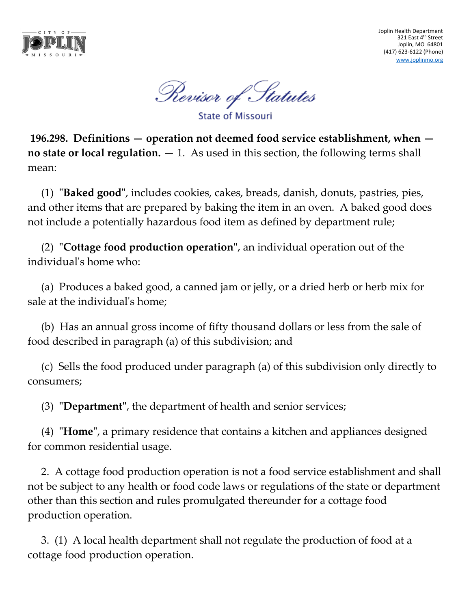

Joplin Health Department 321 East 4th Street Joplin, MO 64801 (417) 623-6122 (Phone) [www.joplinmo.org](http://www.joplinmo.org/)

Revisor of Statutes

**State of Missouri** 

**196.298. Definitions — operation not deemed food service establishment, when no state or local regulation. —** 1. As used in this section, the following terms shall mean:

(1) **"Baked good"**, includes cookies, cakes, breads, danish, donuts, pastries, pies, and other items that are prepared by baking the item in an oven. A baked good does not include a potentially hazardous food item as defined by department rule;

(2) **"Cottage food production operation"**, an individual operation out of the individual's home who:

(a) Produces a baked good, a canned jam or jelly, or a dried herb or herb mix for sale at the individual's home;

(b) Has an annual gross income of fifty thousand dollars or less from the sale of food described in paragraph (a) of this subdivision; and

(c) Sells the food produced under paragraph (a) of this subdivision only directly to consumers;

(3) **"Department"**, the department of health and senior services;

(4) **"Home"**, a primary residence that contains a kitchen and appliances designed for common residential usage.

2. A cottage food production operation is not a food service establishment and shall not be subject to any health or food code laws or regulations of the state or department other than this section and rules promulgated thereunder for a cottage food production operation.

3. (1) A local health department shall not regulate the production of food at a cottage food production operation.